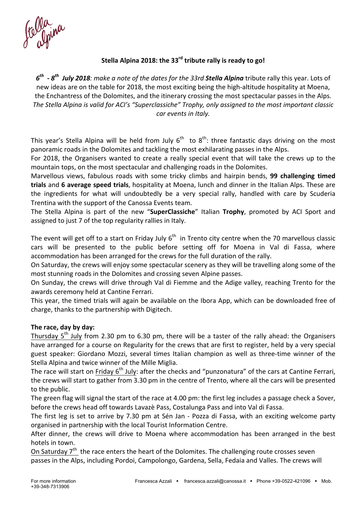# Stella Alpina 2018: the 33<sup>rd</sup> tribute rally is ready to go!

 $6<sup>th</sup>$  *- 8<sup>th</sup> July 2018: make a note of the dates for the 33rd Stella Alpina* tribute rally this year. Lots of new ideas are on the table for 2018, the most exciting being the high-altitude hospitality at Moena, the Enchantress of the Dolomites, and the itinerary crossing the most spectacular passes in the Alps. The Stella Alpina is valid for ACI's "Superclassiche" Trophy, only assigned to the most important classic *car events in Italy.*

This year's Stella Alpina will be held from July  $6<sup>th</sup>$  to  $8<sup>th</sup>$ : three fantastic days driving on the most panoramic roads in the Dolomites and tackling the most exhilarating passes in the Alps.

For 2018, the Organisers wanted to create a really special event that will take the crews up to the mountain tops, on the most spectacular and challenging roads in the Dolomites.

Marvellous views, fabulous roads with some tricky climbs and hairpin bends, **99 challenging timed** trials and 6 average speed trials, hospitality at Moena, lunch and dinner in the Italian Alps. These are the ingredients for what will undoubtedly be a very special rally, handled with care by Scuderia Trentina with the support of the Canossa Events team.

The Stella Alpina is part of the new "SuperClassiche" Italian Trophy, promoted by ACI Sport and assigned to just 7 of the top regularity rallies in Italy.

The event will get off to a start on Friday July  $6^{th}$  in Trento city centre when the 70 marvellous classic cars will be presented to the public before setting off for Moena in Val di Fassa, where accommodation has been arranged for the crews for the full duration of the rally.

On Saturday, the crews will enjoy some spectacular scenery as they will be travelling along some of the most stunning roads in the Dolomites and crossing seven Alpine passes.

On Sunday, the crews will drive through Val di Fiemme and the Adige valley, reaching Trento for the awards ceremony held at Cantine Ferrari.

This year, the timed trials will again be available on the Ibora App, which can be downloaded free of charge, thanks to the partnership with Digitech.

#### The race, day by day:

Thursday  $5<sup>th</sup>$  July from 2.30 pm to 6.30 pm, there will be a taster of the rally ahead: the Organisers have arranged for a course on Regularity for the crews that are first to register, held by a very special guest speaker: Giordano Mozzi, several times Italian champion as well as three-time winner of the Stella Alpina and twice winner of the Mille Miglia.

The race will start on Friday 6<sup>th</sup> July: after the checks and "punzonatura" of the cars at Cantine Ferrari, the crews will start to gather from 3.30 pm in the centre of Trento, where all the cars will be presented to the public.

The green flag will signal the start of the race at 4.00 pm: the first leg includes a passage check a Sover, before the crews head off towards Lavazè Pass, Costalunga Pass and into Val di Fassa.

The first leg is set to arrive by 7.30 pm at Sén Jan - Pozza di Fassa, with an exciting welcome party organised in partnership with the local Tourist Information Centre.

After dinner, the crews will drive to Moena where accommodation has been arranged in the best hotels in town.

On Saturday  $7<sup>th</sup>$  the race enters the heart of the Dolomites. The challenging route crosses seven passes in the Alps, including Pordoi, Campolongo, Gardena, Sella, Fedaia and Valles. The crews will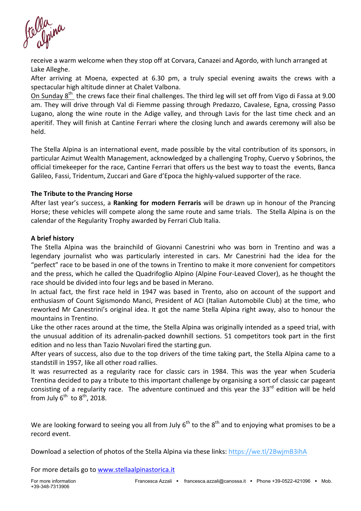receive a warm welcome when they stop off at Corvara, Canazei and Agordo, with lunch arranged at Lake Alleghe.

After arriving at Moena, expected at 6.30 pm, a truly special evening awaits the crews with a spectacular high altitude dinner at Chalet Valbona.

On Sunday 8<sup>th</sup> the crews face their final challenges. The third leg will set off from Vigo di Fassa at 9.00 am. They will drive through Val di Fiemme passing through Predazzo, Cavalese, Egna, crossing Passo Lugano, along the wine route in the Adige valley, and through Lavis for the last time check and an aperitif. They will finish at Cantine Ferrari where the closing lunch and awards ceremony will also be held.

The Stella Alpina is an international event, made possible by the vital contribution of its sponsors, in particular Azimut Wealth Management, acknowledged by a challenging Trophy, Cuervo y Sobrinos, the official timekeeper for the race, Cantine Ferrari that offers us the best way to toast the events, Banca Galileo, Fassi, Tridentum, Zuccari and Gare d'Epoca the highly-valued supporter of the race.

#### **The Tribute to the Prancing Horse**

After last year's success, a **Ranking for modern Ferraris** will be drawn up in honour of the Prancing Horse; these vehicles will compete along the same route and same trials. The Stella Alpina is on the calendar of the Regularity Trophy awarded by Ferrari Club Italia.

#### **A brief history**

The Stella Alpina was the brainchild of Giovanni Canestrini who was born in Trentino and was a legendary journalist who was particularly interested in cars. Mr Canestrini had the idea for the "perfect" race to be based in one of the towns in Trentino to make it more convenient for competitors and the press, which he called the Quadrifoglio Alpino (Alpine Four-Leaved Clover), as he thought the race should be divided into four legs and be based in Merano.

In actual fact, the first race held in 1947 was based in Trento, also on account of the support and enthusiasm of Count Sigismondo Manci, President of ACI (Italian Automobile Club) at the time, who reworked Mr Canestrini's original idea. It got the name Stella Alpina right away, also to honour the mountains in Trentino.

Like the other races around at the time, the Stella Alpina was originally intended as a speed trial, with the unusual addition of its adrenalin-packed downhill sections. 51 competitors took part in the first edition and no less than Tazio Nuvolari fired the starting gun.

After years of success, also due to the top drivers of the time taking part, the Stella Alpina came to a standstill in 1957, like all other road rallies.

It was resurrected as a regularity race for classic cars in 1984. This was the year when Scuderia Trentina decided to pay a tribute to this important challenge by organising a sort of classic car pageant consisting of a regularity race. The adventure continued and this year the  $33^{rd}$  edition will be held from July  $6^{th}$  to  $8^{th}$ , 2018.

We are looking forward to seeing you all from July  $6^{th}$  to the  $8^{th}$  and to enjoying what promises to be a record event.

Download a selection of photos of the Stella Alpina via these links: https://we.tl/2BwjmB3ihA

For more details go to www.stellaalpinastorica.it